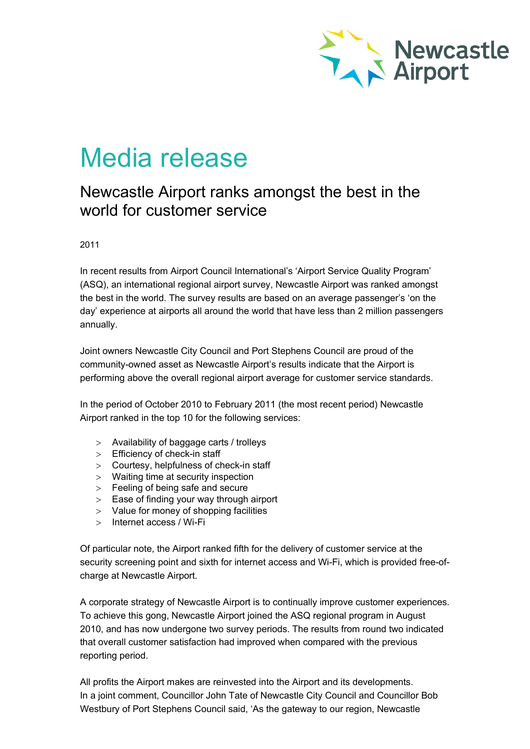

## Media release

## Newcastle Airport ranks amongst the best in the world for customer service

2011

In recent results from Airport Council International's 'Airport Service Quality Program' (ASQ), an international regional airport survey, Newcastle Airport was ranked amongst the best in the world. The survey results are based on an average passenger's 'on the day' experience at airports all around the world that have less than 2 million passengers annually.

Joint owners Newcastle City Council and Port Stephens Council are proud of the community-owned asset as Newcastle Airport's results indicate that the Airport is performing above the overall regional airport average for customer service standards.

In the period of October 2010 to February 2011 (the most recent period) Newcastle Airport ranked in the top 10 for the following services:

- > Availability of baggage carts / trolleys
- > Efficiency of check-in staff
- > Courtesy, helpfulness of check-in staff
- > Waiting time at security inspection
- > Feeling of being safe and secure
- > Ease of finding your way through airport
- > Value for money of shopping facilities
- > Internet access / Wi-Fi

Of particular note, the Airport ranked fifth for the delivery of customer service at the security screening point and sixth for internet access and Wi-Fi, which is provided free-ofcharge at Newcastle Airport.

A corporate strategy of Newcastle Airport is to continually improve customer experiences. To achieve this gong, Newcastle Airport joined the ASQ regional program in August 2010, and has now undergone two survey periods. The results from round two indicated that overall customer satisfaction had improved when compared with the previous reporting period.

All profits the Airport makes are reinvested into the Airport and its developments. In a joint comment, Councillor John Tate of Newcastle City Council and Councillor Bob Westbury of Port Stephens Council said, 'As the gateway to our region, Newcastle